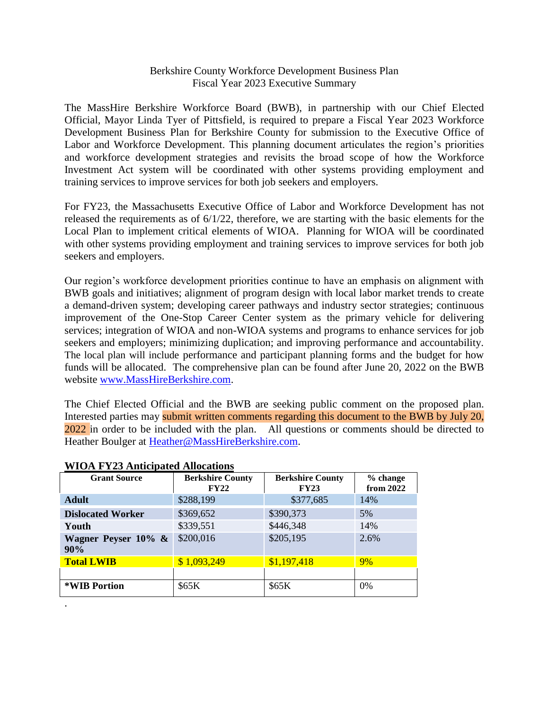## Berkshire County Workforce Development Business Plan Fiscal Year 2023 Executive Summary

The MassHire Berkshire Workforce Board (BWB), in partnership with our Chief Elected Official, Mayor Linda Tyer of Pittsfield, is required to prepare a Fiscal Year 2023 Workforce Development Business Plan for Berkshire County for submission to the Executive Office of Labor and Workforce Development. This planning document articulates the region's priorities and workforce development strategies and revisits the broad scope of how the Workforce Investment Act system will be coordinated with other systems providing employment and training services to improve services for both job seekers and employers.

For FY23, the Massachusetts Executive Office of Labor and Workforce Development has not released the requirements as of 6/1/22, therefore, we are starting with the basic elements for the Local Plan to implement critical elements of WIOA. Planning for WIOA will be coordinated with other systems providing employment and training services to improve services for both job seekers and employers.

Our region's workforce development priorities continue to have an emphasis on alignment with BWB goals and initiatives; alignment of program design with local labor market trends to create a demand-driven system; developing career pathways and industry sector strategies; continuous improvement of the One-Stop Career Center system as the primary vehicle for delivering services; integration of WIOA and non-WIOA systems and programs to enhance services for job seekers and employers; minimizing duplication; and improving performance and accountability. The local plan will include performance and participant planning forms and the budget for how funds will be allocated. The comprehensive plan can be found after June 20, 2022 on the BWB website [www.MassHireBerkshire.com.](http://www.masshireberkshire.com/)

The Chief Elected Official and the BWB are seeking public comment on the proposed plan. Interested parties may submit written comments regarding this document to the BWB by July 20, 2022 in order to be included with the plan. All questions or comments should be directed to Heather Boulger at [Heather@MassHireBerkshire.com.](mailto:Heather@MassHireBerkshire.com)

| <b>Grant Source</b>        | <b>Berkshire County</b><br>FY22 | <b>Berkshire County</b><br>FY23 | % change<br>from 2022 |
|----------------------------|---------------------------------|---------------------------------|-----------------------|
| <b>Adult</b>               | \$288,199                       | \$377,685                       | 14%                   |
| <b>Dislocated Worker</b>   | \$369,652                       | \$390,373                       | 5%                    |
| Youth                      | \$339,551                       | \$446,348                       | 14%                   |
| Wagner Peyser 10% &<br>90% | \$200,016                       | \$205,195                       | 2.6%                  |
| <b>Total LWIB</b>          | \$1,093,249                     | \$1,197,418                     | 9%                    |
|                            |                                 |                                 |                       |
| *WIB Portion               | \$65K                           | \$65K                           | 0%                    |
|                            |                                 |                                 |                       |

## **WIOA FY23 Anticipated Allocations**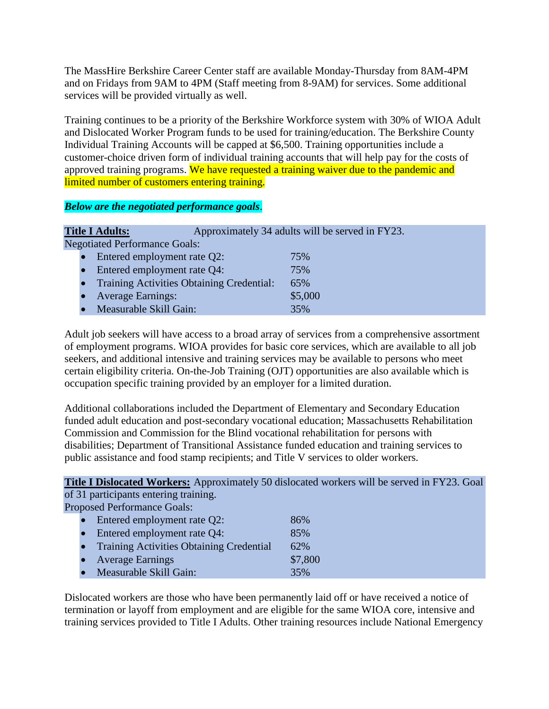The MassHire Berkshire Career Center staff are available Monday-Thursday from 8AM-4PM and on Fridays from 9AM to 4PM (Staff meeting from 8-9AM) for services. Some additional services will be provided virtually as well.

Training continues to be a priority of the Berkshire Workforce system with 30% of WIOA Adult and Dislocated Worker Program funds to be used for training/education. The Berkshire County Individual Training Accounts will be capped at \$6,500. Training opportunities include a customer-choice driven form of individual training accounts that will help pay for the costs of approved training programs. We have requested a training waiver due to the pandemic and limited number of customers entering training.

*Below are the negotiated performance goals*.

|  | <b>Title I Adults:</b>                           | Approximately 34 adults will be served in FY23. |
|--|--------------------------------------------------|-------------------------------------------------|
|  | <b>Negotiated Performance Goals:</b>             |                                                 |
|  | Entered employment rate Q2:                      | 75%                                             |
|  | Entered employment rate Q4:                      | 75%                                             |
|  | <b>Training Activities Obtaining Credential:</b> | 65%                                             |
|  | <b>Average Earnings:</b>                         | \$5,000                                         |
|  | Measurable Skill Gain:                           | 35%                                             |

Adult job seekers will have access to a broad array of services from a comprehensive assortment of employment programs. WIOA provides for basic core services, which are available to all job seekers, and additional intensive and training services may be available to persons who meet certain eligibility criteria. On-the-Job Training (OJT) opportunities are also available which is occupation specific training provided by an employer for a limited duration.

Additional collaborations included the Department of Elementary and Secondary Education funded adult education and post-secondary vocational education; Massachusetts Rehabilitation Commission and Commission for the Blind vocational rehabilitation for persons with disabilities; Department of Transitional Assistance funded education and training services to public assistance and food stamp recipients; and Title V services to older workers.

**Title I Dislocated Workers:** Approximately 50 dislocated workers will be served in FY23. Goal of 31 participants entering training.

Proposed Performance Goals:

| $\bullet$ | Entered employment rate Q2:                     | 86%     |
|-----------|-------------------------------------------------|---------|
|           | Entered employment rate Q4:                     | 85%     |
| $\bullet$ | <b>Training Activities Obtaining Credential</b> | 62%     |
| $\bullet$ | <b>Average Earnings</b>                         | \$7,800 |
| $\bullet$ | Measurable Skill Gain:                          | 35%     |

Dislocated workers are those who have been permanently laid off or have received a notice of termination or layoff from employment and are eligible for the same WIOA core, intensive and training services provided to Title I Adults. Other training resources include National Emergency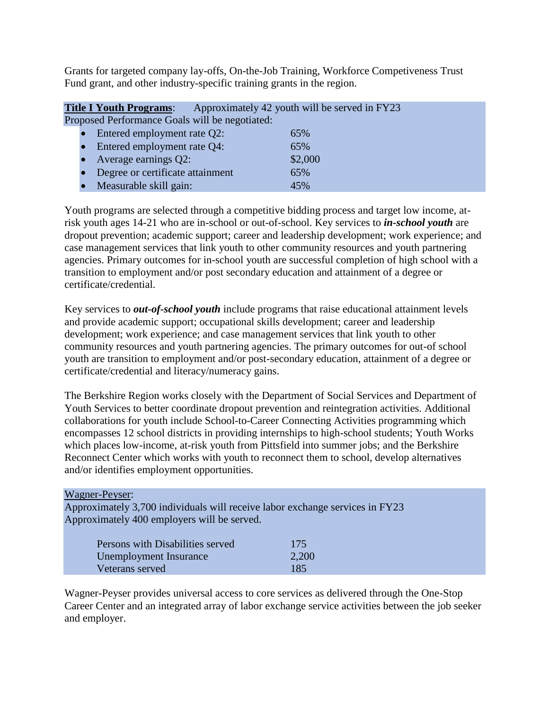Grants for targeted company lay-offs, On-the-Job Training, Workforce Competiveness Trust Fund grant, and other industry-specific training grants in the region.

| <b>Title I Youth Programs:</b>                          | Approximately 42 youth will be served in FY23 |
|---------------------------------------------------------|-----------------------------------------------|
| Proposed Performance Goals will be negotiated:          |                                               |
| $\bullet$ Entered employment rate $\Omega$ <sup>1</sup> | 650/                                          |

| $\bullet$ Entered employment rate Q2: | 65%     |
|---------------------------------------|---------|
| • Entered employment rate Q4:         | 65%     |
| • Average earnings $Q2$ :             | \$2,000 |
| • Degree or certificate attainment    | 65%     |
| • Measurable skill gain:              | 45%     |

Youth programs are selected through a competitive bidding process and target low income, atrisk youth ages 14-21 who are in-school or out-of-school. Key services to *in-school youth* are dropout prevention; academic support; career and leadership development; work experience; and case management services that link youth to other community resources and youth partnering agencies. Primary outcomes for in-school youth are successful completion of high school with a transition to employment and/or post secondary education and attainment of a degree or certificate/credential.

Key services to *out-of-school youth* include programs that raise educational attainment levels and provide academic support; occupational skills development; career and leadership development; work experience; and case management services that link youth to other community resources and youth partnering agencies. The primary outcomes for out-of school youth are transition to employment and/or post-secondary education, attainment of a degree or certificate/credential and literacy/numeracy gains.

The Berkshire Region works closely with the Department of Social Services and Department of Youth Services to better coordinate dropout prevention and reintegration activities. Additional collaborations for youth include School-to-Career Connecting Activities programming which encompasses 12 school districts in providing internships to high-school students; Youth Works which places low-income, at-risk youth from Pittsfield into summer jobs; and the Berkshire Reconnect Center which works with youth to reconnect them to school, develop alternatives and/or identifies employment opportunities.

## Wagner-Peyser:

Approximately 3,700 individuals will receive labor exchange services in FY23 Approximately 400 employers will be served.

| Persons with Disabilities served | 175   |
|----------------------------------|-------|
| Unemployment Insurance           | 2,200 |
| Veterans served                  | 185   |

Wagner-Peyser provides universal access to core services as delivered through the One-Stop Career Center and an integrated array of labor exchange service activities between the job seeker and employer.